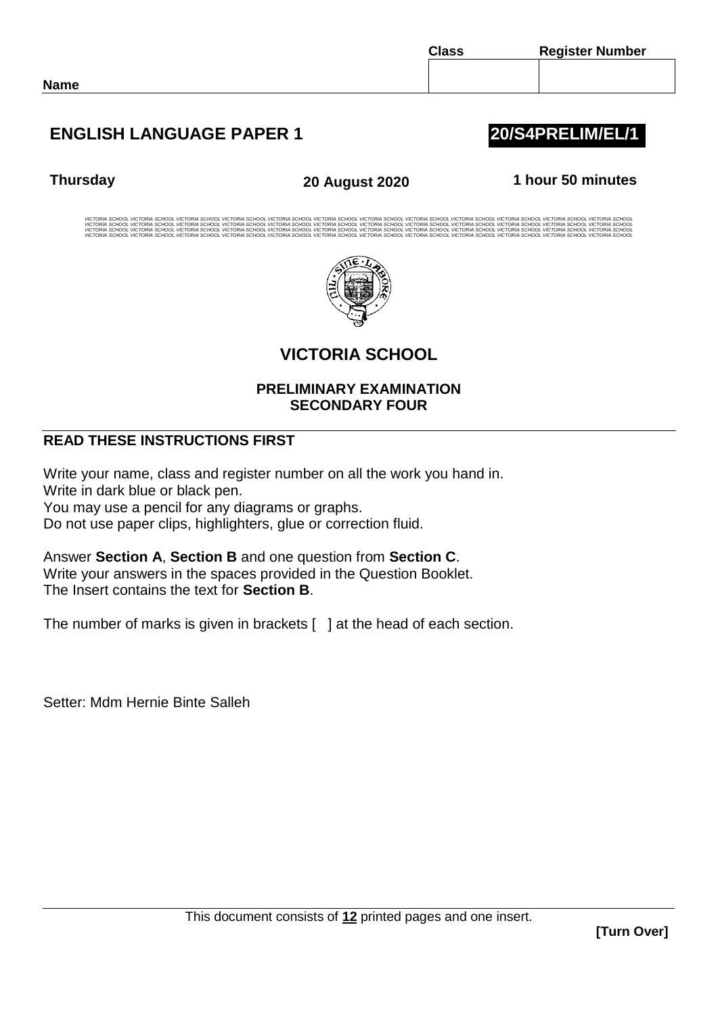# **ENGLISH LANGUAGE PAPER 1 20/S4PRELIM/EL/1**



## **Thursday 20 August 2020 1 hour 50 minutes**





# **VICTORIA SCHOOL**

#### **PRELIMINARY EXAMINATION SECONDARY FOUR**

## **READ THESE INSTRUCTIONS FIRST**

Write your name, class and register number on all the work you hand in. Write in dark blue or black pen. You may use a pencil for any diagrams or graphs. Do not use paper clips, highlighters, glue or correction fluid.

Answer **Section A**, **Section B** and one question from **Section C**. Write your answers in the spaces provided in the Question Booklet. The Insert contains the text for **Section B**.

The number of marks is given in brackets [ ] at the head of each section.

Setter: Mdm Hernie Binte Salleh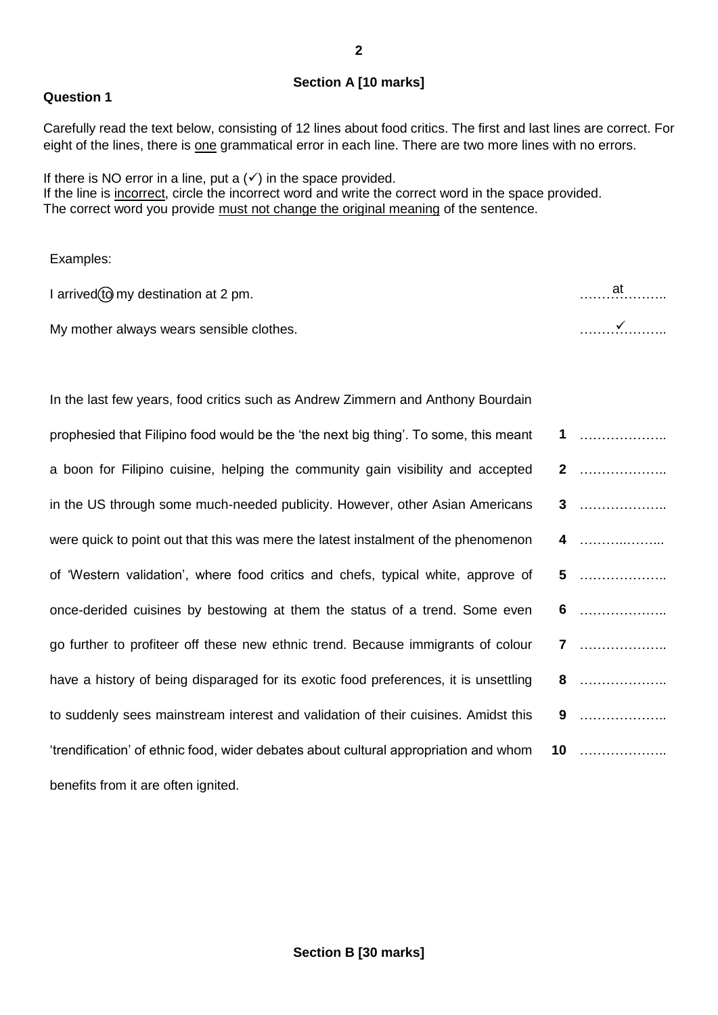#### **Section A [10 marks]**

Carefully read the text below, consisting of 12 lines about food critics. The first and last lines are correct. For eight of the lines, there is one grammatical error in each line. There are two more lines with no errors.

If there is NO error in a line, put a  $(\checkmark)$  in the space provided. If the line is incorrect, circle the incorrect word and write the correct word in the space provided. The correct word you provide must not change the original meaning of the sentence.

Examples:

**Question 1**

I arrived  $f_0$  my destination at 2 pm.

My mother always wears sensible clothes.

| at           |
|--------------|
|              |
| $\checkmark$ |

| In the last few years, food critics such as Andrew Zimmern and Anthony Bourdain      |   |     |
|--------------------------------------------------------------------------------------|---|-----|
| prophesied that Filipino food would be the 'the next big thing'. To some, this meant | 1 |     |
| a boon for Filipino cuisine, helping the community gain visibility and accepted      |   | 2   |
| in the US through some much-needed publicity. However, other Asian Americans         |   | 3   |
| were quick to point out that this was mere the latest instalment of the phenomenon   |   | 4   |
| of 'Western validation', where food critics and chefs, typical white, approve of     |   | $5$ |
| once-derided cuisines by bestowing at them the status of a trend. Some even          |   | $6$ |
| go further to profiteer off these new ethnic trend. Because immigrants of colour     |   |     |
| have a history of being disparaged for its exotic food preferences, it is unsettling |   | 8   |
| to suddenly sees mainstream interest and validation of their cuisines. Amidst this   | 9 |     |
| 'trendification' of ethnic food, wider debates about cultural appropriation and whom |   | 10  |
| benefits from it are often ignited.                                                  |   |     |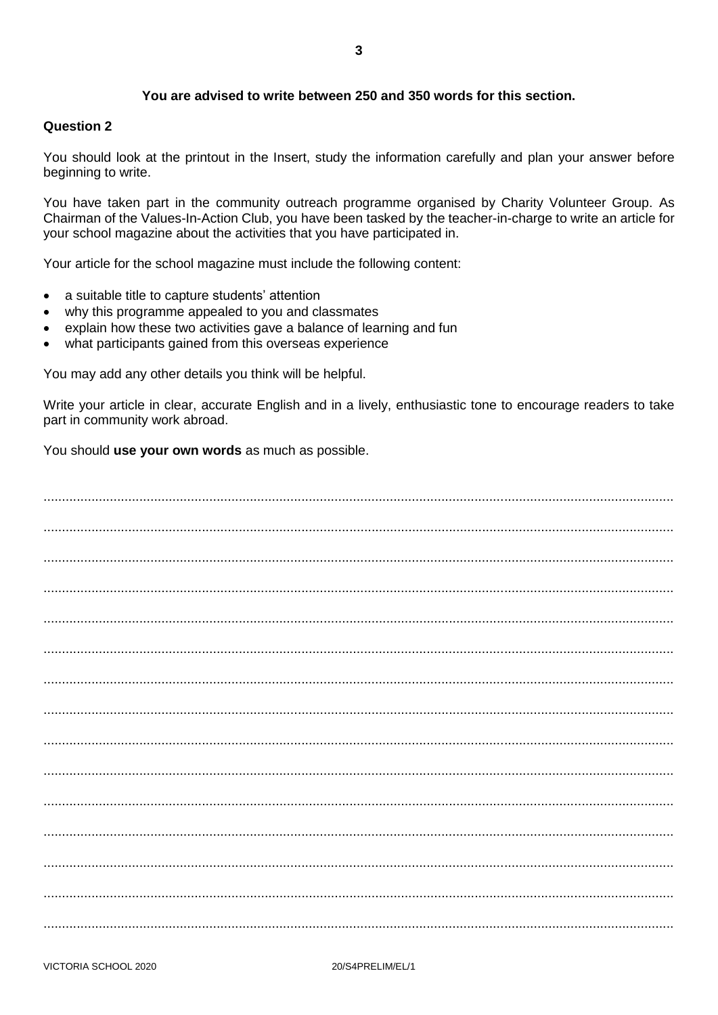#### You are advised to write between 250 and 350 words for this section.

#### **Question 2**

You should look at the printout in the Insert, study the information carefully and plan your answer before beginning to write.

You have taken part in the community outreach programme organised by Charity Volunteer Group. As Chairman of the Values-In-Action Club, you have been tasked by the teacher-in-charge to write an article for your school magazine about the activities that you have participated in.

Your article for the school magazine must include the following content:

- a suitable title to capture students' attention
- why this programme appealed to you and classmates
- explain how these two activities gave a balance of learning and fun
- what participants gained from this overseas experience

You may add any other details you think will be helpful.

Write your article in clear, accurate English and in a lively, enthusiastic tone to encourage readers to take part in community work abroad.

You should use your own words as much as possible.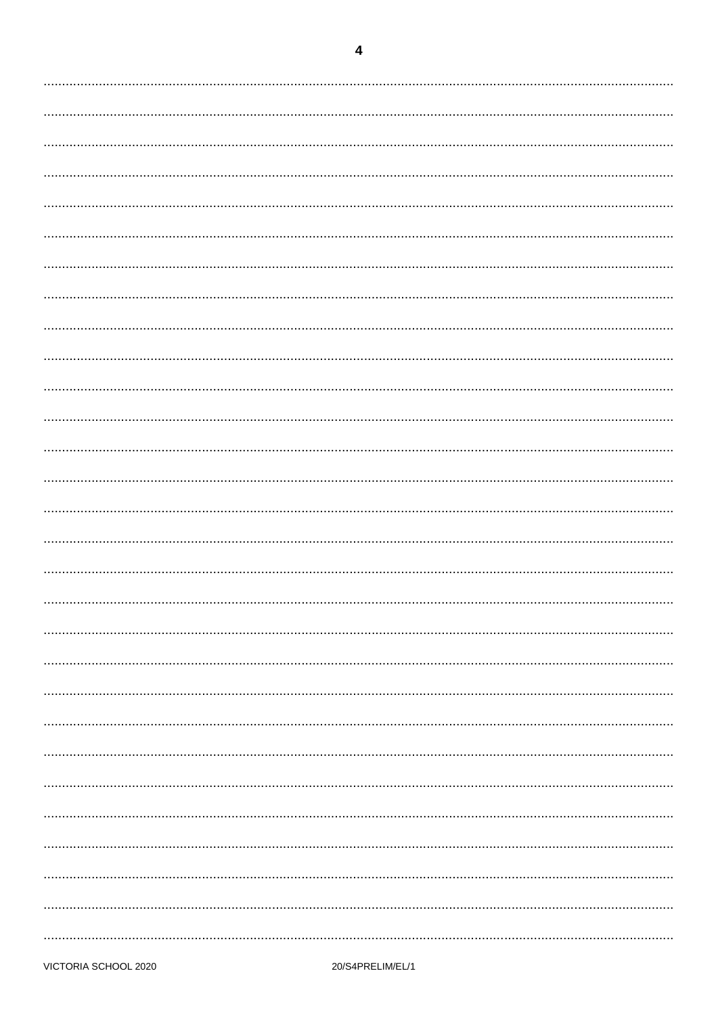$\overline{4}$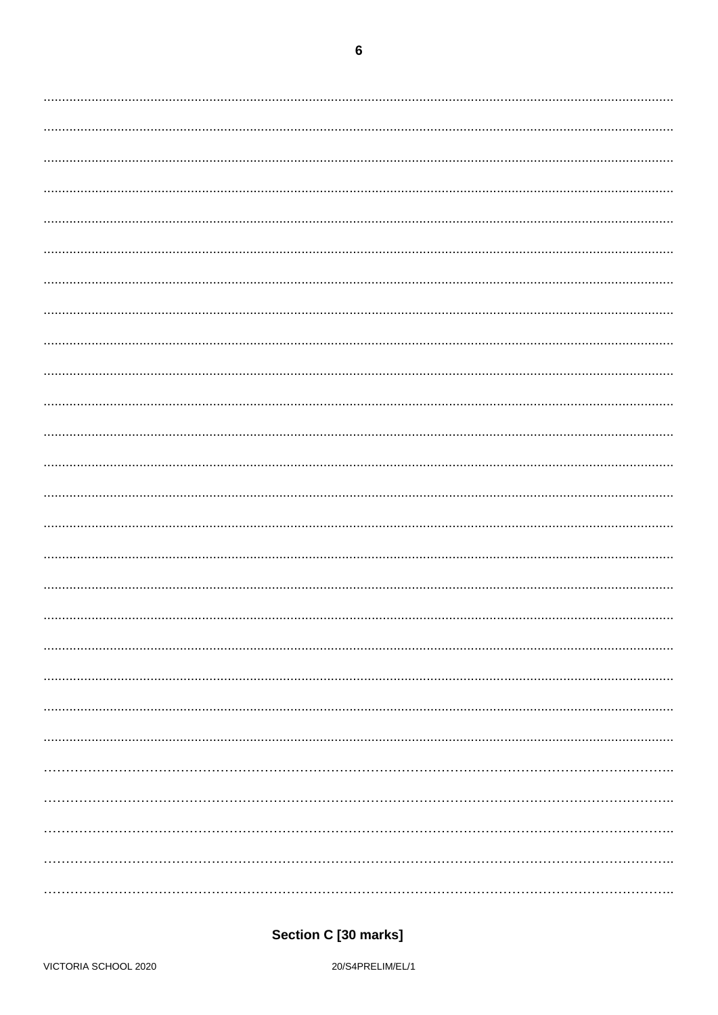#### Section C [30 marks]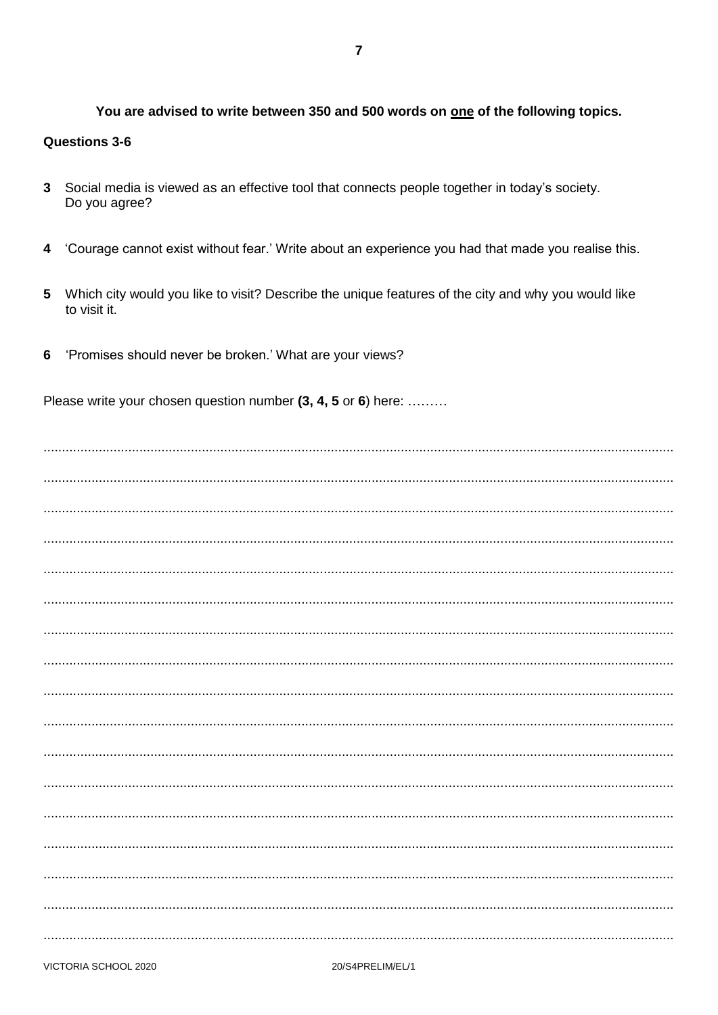#### You are advised to write between 350 and 500 words on one of the following topics.

#### Questions 3-6

- Social media is viewed as an effective tool that connects people together in today's society.  $\mathbf{3}$ Do you agree?
- 'Courage cannot exist without fear.' Write about an experience you had that made you realise this.  $\overline{\mathbf{4}}$
- Which city would you like to visit? Describe the unique features of the city and why you would like 5 to visit it.
- 'Promises should never be broken.' What are your views? 6

Please write your chosen question number (3, 4, 5 or 6) here: ........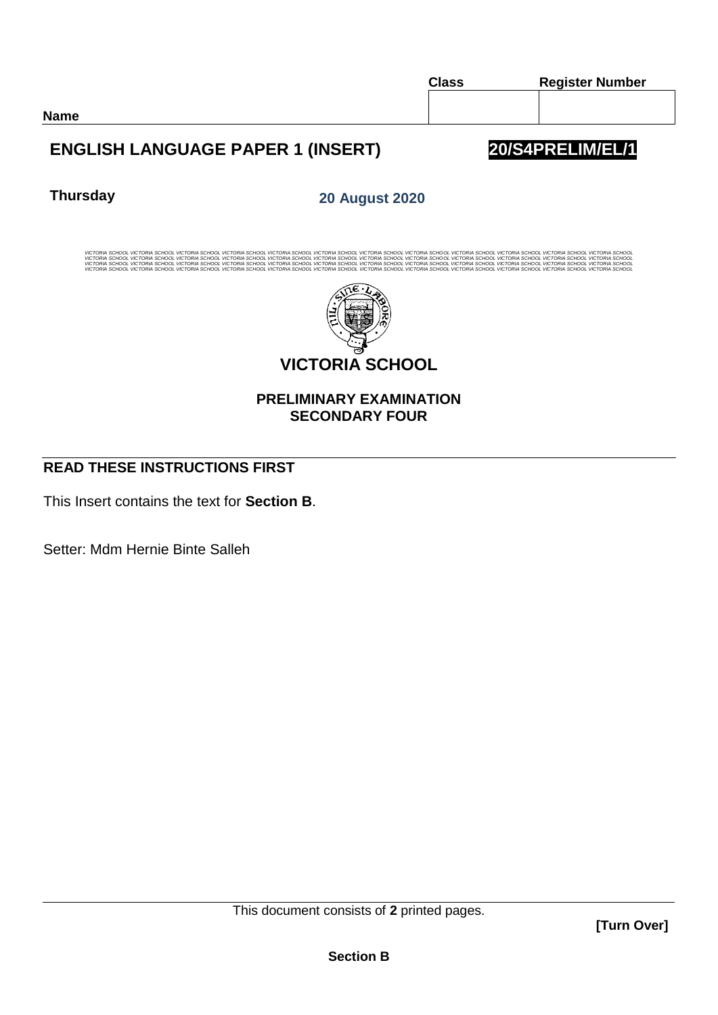

## **READ THESE INSTRUCTIONS FIRST**

This Insert contains the text for **Section B**.

Setter: Mdm Hernie Binte Salleh